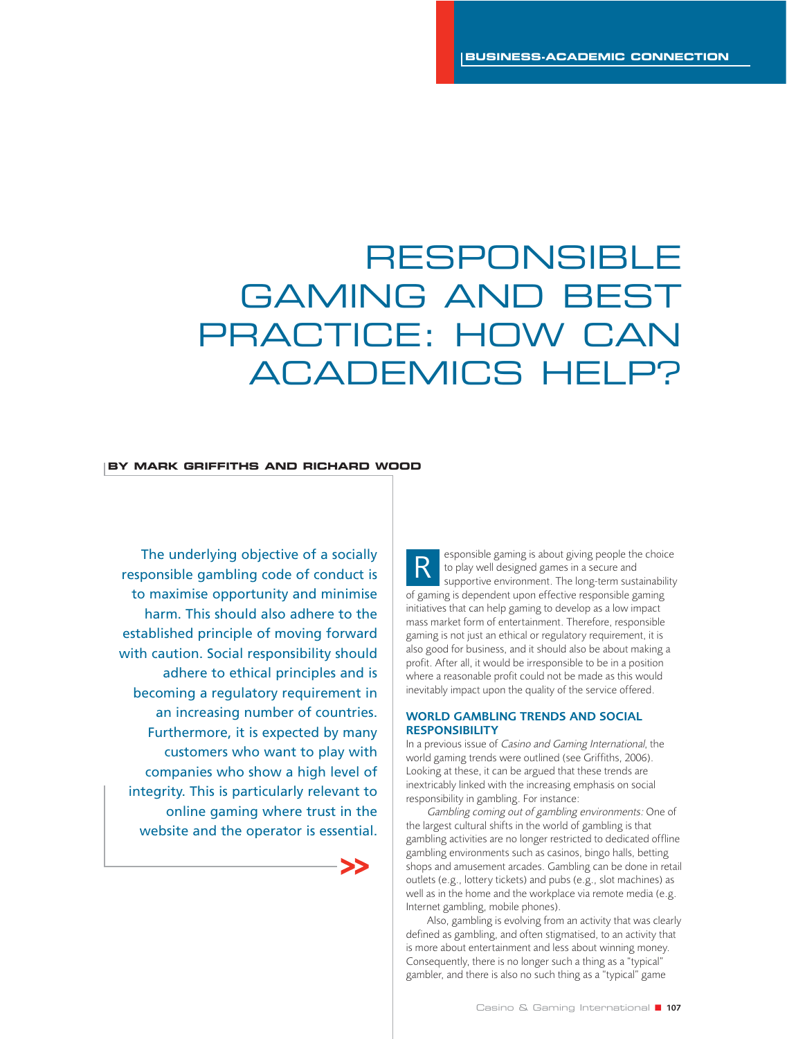# RESPONSIBLE GAMING AND BEST PRACTICE: HOW CAN ACADEMICS HELP?

#### **BY MARK GRIFFITHS AND RICHARD WOOD**

The underlying objective of a socially responsible gambling code of conduct is to maximise opportunity and minimise harm. This should also adhere to the established principle of moving forward with caution. Social responsibility should adhere to ethical principles and is becoming a regulatory requirement in an increasing number of countries. Furthermore, it is expected by many customers who want to play with companies who show a high level of integrity. This is particularly relevant to online gaming where trust in the website and the operator is essential.



esponsible gaming is about giving people the choice to play well designed games in a secure and supportive environment. The long-term sustainability of gaming is dependent upon effective responsible gaming initiatives that can help gaming to develop as a low impact mass market form of entertainment. Therefore, responsible gaming is not just an ethical or regulatory requirement, it is also good for business, and it should also be about making a profit. After all, it would be irresponsible to be in a position where a reasonable profit could not be made as this would inevitably impact upon the quality of the service offered. R

## **WORLD GAMBLING TRENDS AND SOCIAL RESPONSIBILITY**

In a previous issue of Casino and Gaming International, the world gaming trends were outlined (see Griffiths, 2006). Looking at these, it can be argued that these trends are inextricably linked with the increasing emphasis on social responsibility in gambling. For instance:

Gambling coming out of gambling environments: One of the largest cultural shifts in the world of gambling is that gambling activities are no longer restricted to dedicated offline gambling environments such as casinos, bingo halls, betting shops and amusement arcades. Gambling can be done in retail outlets (e.g., lottery tickets) and pubs (e.g., slot machines) as well as in the home and the workplace via remote media (e.g. Internet gambling, mobile phones).

Also, gambling is evolving from an activity that was clearly defined as gambling, and often stigmatised, to an activity that is more about entertainment and less about winning money. Consequently, there is no longer such a thing as a "typical" gambler, and there is also no such thing as a "typical" game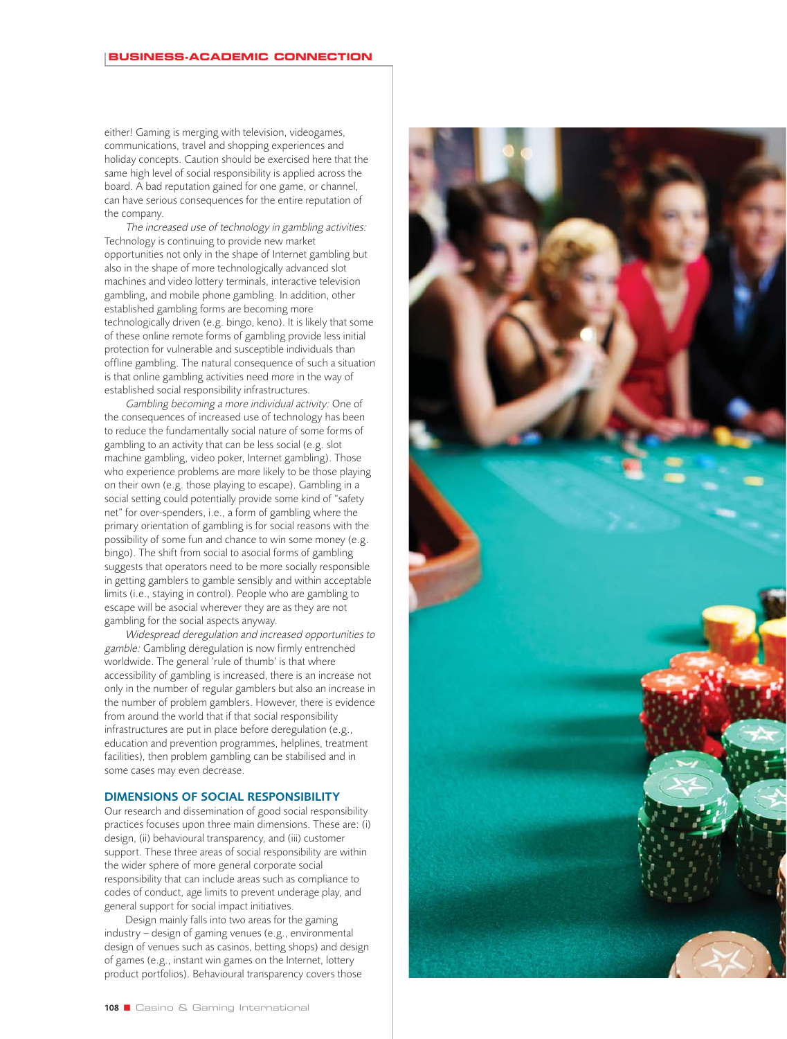either! Gaming is merging with television, videogames, communications, travel and shopping experiences and holiday concepts. Caution should be exercised here that the same high level of social responsibility is applied across the board. A bad reputation gained for one game, or channel, can have serious consequences for the entire reputation of the company.

The increased use of technology in gambling activities: Technology is continuing to provide new market opportunities not only in the shape of Internet gambling but also in the shape of more technologically advanced slot machines and video lottery terminals, interactive television gambling, and mobile phone gambling. In addition, other established gambling forms are becoming more technologically driven (e.g. bingo, keno). It is likely that some of these online remote forms of gambling provide less initial protection for vulnerable and susceptible individuals than offline gambling. The natural consequence of such a situation is that online gambling activities need more in the way of established social responsibility infrastructures.

Gambling becoming a more individual activity: One of the consequences of increased use of technology has been to reduce the fundamentally social nature of some forms of gambling to an activity that can be less social (e.g. slot machine gambling, video poker, Internet gambling). Those who experience problems are more likely to be those playing on their own (e.g. those playing to escape). Gambling in a social setting could potentially provide some kind of "safety net" for over-spenders, i.e., a form of gambling where the primary orientation of gambling is for social reasons with the possibility of some fun and chance to win some money (e.g. bingo). The shift from social to asocial forms of gambling suggests that operators need to be more socially responsible in getting gamblers to gamble sensibly and within acceptable limits (i.e., staying in control). People who are gambling to escape will be asocial wherever they are as they are not gambling for the social aspects anyway.

Widespread deregulation and increased opportunities to gamble: Gambling deregulation is now firmly entrenched worldwide. The general 'rule of thumb' is that where accessibility of gambling is increased, there is an increase not only in the number of regular gamblers but also an increase in the number of problem gamblers. However, there is evidence from around the world that if that social responsibility infrastructures are put in place before deregulation (e.g., education and prevention programmes, helplines, treatment facilities), then problem gambling can be stabilised and in some cases may even decrease.

## **DIMENSIONS OF SOCIAL RESPONSIBILITY**

Our research and dissemination of good social responsibility practices focuses upon three main dimensions. These are: (i) design, (ii) behavioural transparency, and (iii) customer support. These three areas of social responsibility are within the wider sphere of more general corporate social responsibility that can include areas such as compliance to codes of conduct, age limits to prevent underage play, and general support for social impact initiatives.

Design mainly falls into two areas for the gaming industry – design of gaming venues (e.g., environmental design of venues such as casinos, betting shops) and design of games (e.g., instant win games on the Internet, lottery product portfolios). Behavioural transparency covers those

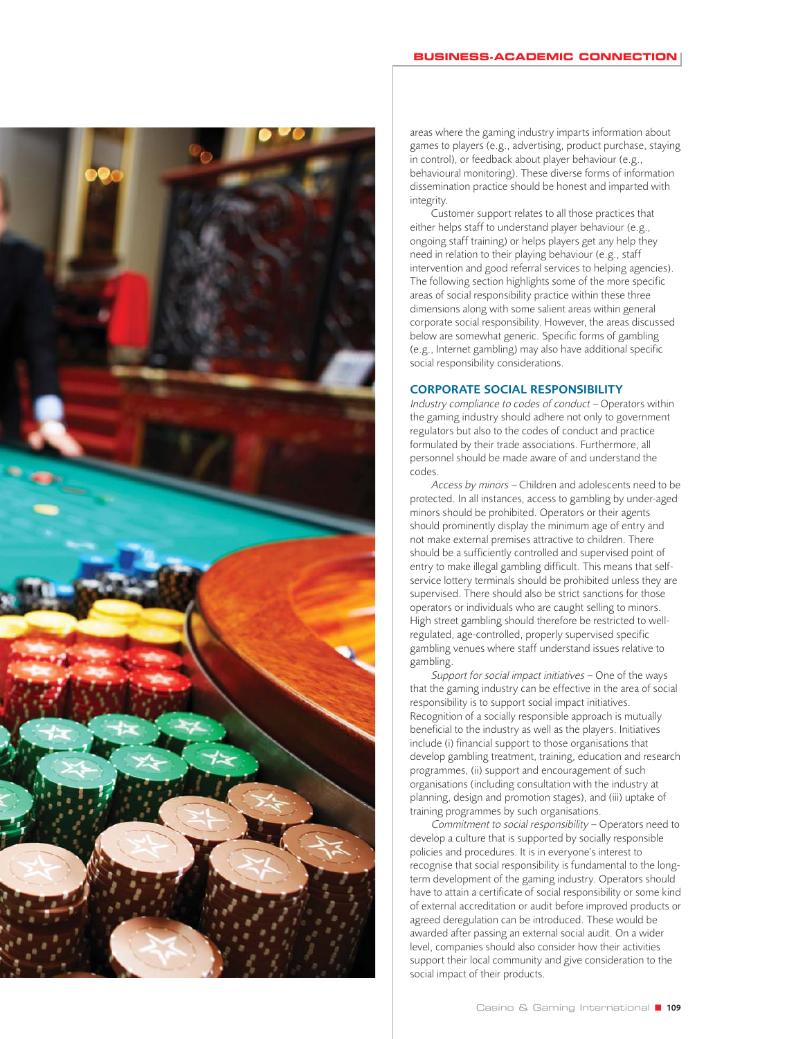

#### **BUSINESS-ACADEMIC CONNECTION**

areas where the gaming industry imparts information about games to players (e.g., advertising, product purchase, staying in control), or feedback about player behaviour (e.g., behavioural monitoring). These diverse forms of information dissemination practice should be honest and imparted with integrity.

Customer support relates to all those practices that either helps staff to understand player behaviour (e.g., ongoing staff training) or helps players get any help they need in relation to their playing behaviour (e.g., staff intervention and good referral services to helping agencies). The following section highlights some of the more specific areas of social responsibility practice within these three dimensions along with some salient areas within general corporate social responsibility. However, the areas discussed below are somewhat generic. Specific forms of gambling (e.g., Internet gambling) may also have additional specific social responsibility considerations.

### **CORPORATE SOCIAL RESPONSIBILITY**

Industry compliance to codes of conduct – Operators within the gaming industry should adhere not only to government regulators but also to the codes of conduct and practice formulated by their trade associations. Furthermore, all personnel should be made aware of and understand the codes.

Access by minors – Children and adolescents need to be protected. In all instances, access to gambling by under-aged minors should be prohibited. Operators or their agents should prominently display the minimum age of entry and not make external premises attractive to children. There should be a sufficiently controlled and supervised point of entry to make illegal gambling difficult. This means that selfservice lottery terminals should be prohibited unless they are supervised. There should also be strict sanctions for those operators or individuals who are caught selling to minors. High street gambling should therefore be restricted to wellregulated, age-controlled, properly supervised specific gambling venues where staff understand issues relative to gambling.

Support for social impact initiatives – One of the ways that the gaming industry can be effective in the area of social responsibility is to support social impact initiatives. Recognition of a socially responsible approach is mutually beneficial to the industry as well as the players. Initiatives include (i) financial support to those organisations that develop gambling treatment, training, education and research programmes, (ii) support and encouragement of such organisations (including consultation with the industry at planning, design and promotion stages), and (iii) uptake of training programmes by such organisations.

Commitment to social responsibility – Operators need to develop a culture that is supported by socially responsible policies and procedures. It is in everyone's interest to recognise that social responsibility is fundamental to the longterm development of the gaming industry. Operators should have to attain a certificate of social responsibility or some kind of external accreditation or audit before improved products or agreed deregulation can be introduced. These would be awarded after passing an external social audit. On a wider level, companies should also consider how their activities support their local community and give consideration to the social impact of their products.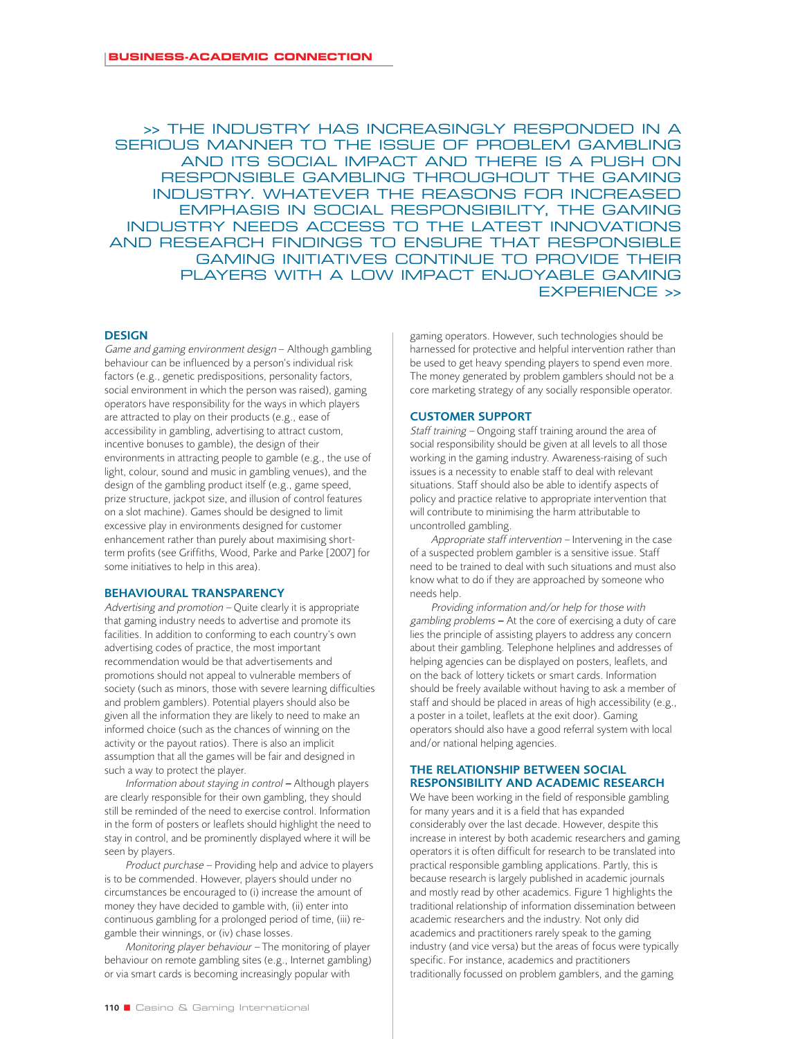>> THE INDUSTRY HAS INCREASINGLY RESPONDED IN A SERIOUS MANNER TO THE ISSUE OF PROBLEM GAMBLING AND ITS SOCIAL IMPACT AND THERE IS A PUSH ON RESPONSIBLE GAMBLING THROUGHOUT THE GAMING INDUSTRY. WHATEVER THE REASONS FOR INCREASED EMPHASIS IN SOCIAL RESPONSIBILITY, THE GAMING INDUSTRY NEEDS ACCESS TO THE LATEST INNOVATIONS AND RESEARCH FINDINGS TO ENSURE THAT RESPONSIBLE GAMING INITIATIVES CONTINUE TO PROVIDE THEIR PLAYERS WITH A LOW IMPACT ENJOYABLE GAMING EXPERIENCE >>

#### **DESIGN**

Game and gaming environment design – Although gambling behaviour can be influenced by a person's individual risk factors (e.g., genetic predispositions, personality factors, social environment in which the person was raised), gaming operators have responsibility for the ways in which players are attracted to play on their products (e.g., ease of accessibility in gambling, advertising to attract custom, incentive bonuses to gamble), the design of their environments in attracting people to gamble (e.g., the use of light, colour, sound and music in gambling venues), and the design of the gambling product itself (e.g., game speed, prize structure, jackpot size, and illusion of control features on a slot machine). Games should be designed to limit excessive play in environments designed for customer enhancement rather than purely about maximising shortterm profits (see Griffiths, Wood, Parke and Parke [2007] for some initiatives to help in this area).

#### **BEHAVIOURAL TRANSPARENCY**

Advertising and promotion – Quite clearly it is appropriate that gaming industry needs to advertise and promote its facilities. In addition to conforming to each country's own advertising codes of practice, the most important recommendation would be that advertisements and promotions should not appeal to vulnerable members of society (such as minors, those with severe learning difficulties and problem gamblers). Potential players should also be given all the information they are likely to need to make an informed choice (such as the chances of winning on the activity or the payout ratios). There is also an implicit assumption that all the games will be fair and designed in such a way to protect the player.

Information about staying in control *–* Although players are clearly responsible for their own gambling, they should still be reminded of the need to exercise control. Information in the form of posters or leaflets should highlight the need to stay in control, and be prominently displayed where it will be seen by players.

Product purchase – Providing help and advice to players is to be commended. However, players should under no circumstances be encouraged to (i) increase the amount of money they have decided to gamble with, (ii) enter into continuous gambling for a prolonged period of time, (iii) regamble their winnings, or (iv) chase losses.

Monitoring player behaviour – The monitoring of player behaviour on remote gambling sites (e.g., Internet gambling) or via smart cards is becoming increasingly popular with

gaming operators. However, such technologies should be harnessed for protective and helpful intervention rather than be used to get heavy spending players to spend even more. The money generated by problem gamblers should not be a core marketing strategy of any socially responsible operator.

#### **CUSTOMER SUPPORT**

Staff training – Ongoing staff training around the area of social responsibility should be given at all levels to all those working in the gaming industry. Awareness-raising of such issues is a necessity to enable staff to deal with relevant situations. Staff should also be able to identify aspects of policy and practice relative to appropriate intervention that will contribute to minimising the harm attributable to uncontrolled gambling.

Appropriate staff intervention – Intervening in the case of a suspected problem gambler is a sensitive issue. Staff need to be trained to deal with such situations and must also know what to do if they are approached by someone who needs help.

Providing information and/or help for those with gambling problems *–* At the core of exercising a duty of care lies the principle of assisting players to address any concern about their gambling. Telephone helplines and addresses of helping agencies can be displayed on posters, leaflets, and on the back of lottery tickets or smart cards. Information should be freely available without having to ask a member of staff and should be placed in areas of high accessibility (e.g., a poster in a toilet, leaflets at the exit door). Gaming operators should also have a good referral system with local and/or national helping agencies.

# **THE RELATIONSHIP BETWEEN SOCIAL RESPONSIBILITY AND ACADEMIC RESEARCH**

We have been working in the field of responsible gambling for many years and it is a field that has expanded considerably over the last decade. However, despite this increase in interest by both academic researchers and gaming operators it is often difficult for research to be translated into practical responsible gambling applications. Partly, this is because research is largely published in academic journals and mostly read by other academics. Figure 1 highlights the traditional relationship of information dissemination between academic researchers and the industry. Not only did academics and practitioners rarely speak to the gaming industry (and vice versa) but the areas of focus were typically specific. For instance, academics and practitioners traditionally focussed on problem gamblers, and the gaming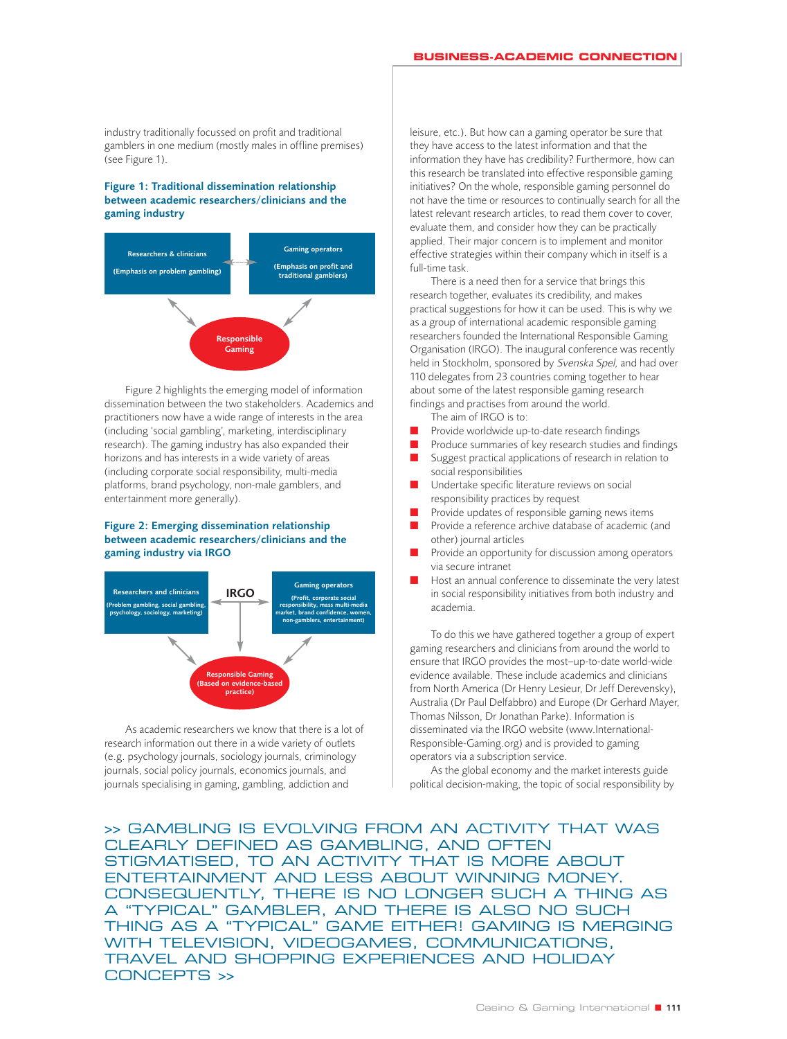industry traditionally focussed on profit and traditional gamblers in one medium (mostly males in offline premises) (see Figure 1).

#### **Figure 1: Traditional dissemination relationship between academic researchers/clinicians and the gaming industry**



Figure 2 highlights the emerging model of information dissemination between the two stakeholders. Academics and practitioners now have a wide range of interests in the area (including 'social gambling', marketing, interdisciplinary research). The gaming industry has also expanded their horizons and has interests in a wide variety of areas (including corporate social responsibility, multi-media platforms, brand psychology, non-male gamblers, and entertainment more generally).

#### **Figure 2: Emerging dissemination relationship between academic researchers/clinicians and the gaming industry via IRGO**



As academic researchers we know that there is a lot of research information out there in a wide variety of outlets (e.g. psychology journals, sociology journals, criminology journals, social policy journals, economics journals, and journals specialising in gaming, gambling, addiction and

leisure, etc.). But how can a gaming operator be sure that they have access to the latest information and that the information they have has credibility? Furthermore, how can this research be translated into effective responsible gaming initiatives? On the whole, responsible gaming personnel do not have the time or resources to continually search for all the latest relevant research articles, to read them cover to cover, evaluate them, and consider how they can be practically applied. Their major concern is to implement and monitor effective strategies within their company which in itself is a full-time task.

There is a need then for a service that brings this research together, evaluates its credibility, and makes practical suggestions for how it can be used. This is why we as a group of international academic responsible gaming researchers founded the International Responsible Gaming Organisation (IRGO). The inaugural conference was recently held in Stockholm, sponsored by Svenska Spel, and had over 110 delegates from 23 countries coming together to hear about some of the latest responsible gaming research findings and practises from around the world.

The aim of IRGO is to:

- Provide worldwide up-to-date research findings
- Produce summaries of key research studies and findings ■ Suggest practical applications of research in relation to
- social responsibilities ■ Undertake specific literature reviews on social responsibility practices by request
- Provide updates of responsible gaming news items
- Provide a reference archive database of academic (and other) journal articles
- Provide an opportunity for discussion among operators via secure intranet
- Host an annual conference to disseminate the very latest in social responsibility initiatives from both industry and academia.

To do this we have gathered together a group of expert gaming researchers and clinicians from around the world to ensure that IRGO provides the most–up-to-date world-wide evidence available. These include academics and clinicians from North America (Dr Henry Lesieur, Dr Jeff Derevensky), Australia (Dr Paul Delfabbro) and Europe (Dr Gerhard Mayer, Thomas Nilsson, Dr Jonathan Parke). Information is disseminated via the IRGO website (www.International-Responsible-Gaming.org) and is provided to gaming operators via a subscription service.

As the global economy and the market interests guide political decision-making, the topic of social responsibility by

>> GAMBLING IS EVOLVING FROM AN ACTIVITY THAT WAS CLEARLY DEFINED AS GAMBLING, AND OFTEN STIGMATISED, TO AN ACTIVITY THAT IS MORE ABOUT ENTERTAINMENT AND LESS ABOUT WINNING MONEY. CONSEQUENTLY, THERE IS NO LONGER SUCH A THING AS A "TYPICAL" GAMBLER, AND THERE IS ALSO NO SUCH THING AS A "TYPICAL" GAME EITHER! GAMING IS MERGING WITH TELEVISION, VIDEOGAMES, COMMUNICATIONS, TRAVEL AND SHOPPING EXPERIENCES AND HOLIDAY CONCEPTS >>